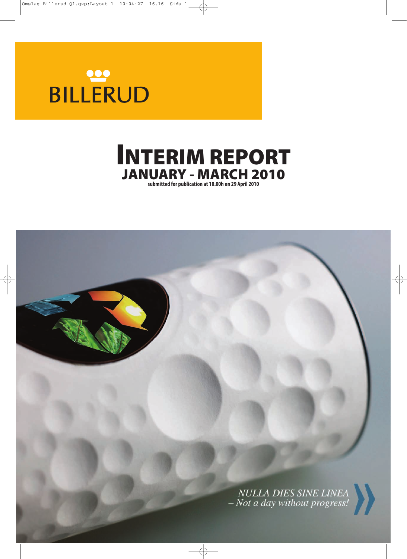# BILLERUD



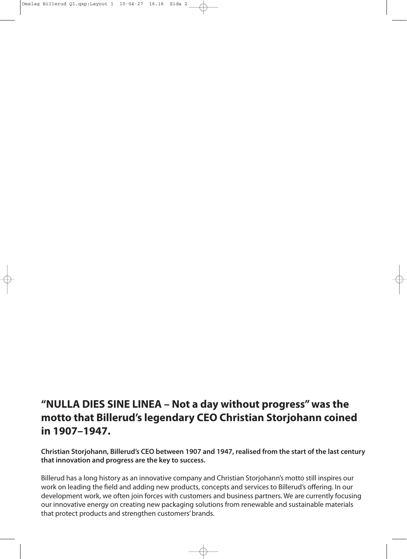# **"NULLA DIES SINE LINEA – Not a day without progress" was the motto that Billerud's legendary CEO Christian Storjohann coined in 1907–1947.**

**Christian Storjohann, Billerud's CEO between 1907 and 1947, realised from the start of the last century that innovation and progress are the key to success.**

Billerud has a long history as an innovative company and Christian Storjohann's motto still inspires our work on leading the field and adding new products, concepts and services to Billerud's offering. In our development work, we often join forces with customers and business partners. We are currently focusing our innovative energy on creating new packaging solutions from renewable and sustainable materials that protect products and strengthen customers' brands.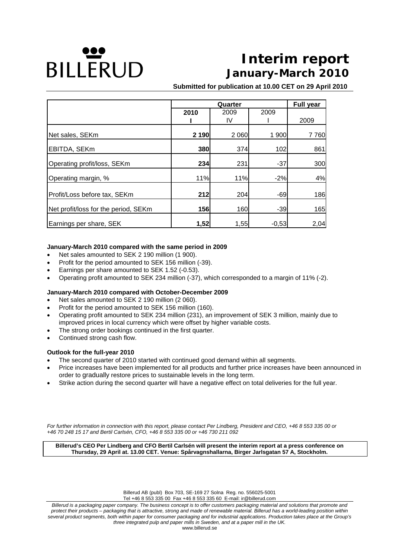# **DILLERUD**

# **Interim report January-March 2010**

**Submitted for publication at 10.00 CET on 29 April 2010**

|                                      |         | <b>Full year</b> |         |      |
|--------------------------------------|---------|------------------|---------|------|
|                                      | 2010    | 2009             | 2009    |      |
|                                      |         | IV               |         | 2009 |
| Net sales, SEKm                      | 2 1 9 0 | 2 0 6 0          | 1 900   | 7760 |
| EBITDA, SEKm                         | 380     | 374              | 102     | 861  |
| Operating profit/loss, SEKm          | 234     | 231              | $-37$   | 300  |
| Operating margin, %                  | 11%     | 11%              | $-2%$   | 4%   |
| Profit/Loss before tax, SEKm         | 212     | 204              | $-69$   | 186  |
| Net profit/loss for the period, SEKm | 156     | 160              | $-39$   | 165  |
| Earnings per share, SEK              | 1,52    | 1,55             | $-0,53$ | 2,04 |

#### **January-March 2010 compared with the same period in 2009**

- Net sales amounted to SEK 2 190 million (1 900).
- Profit for the period amounted to SEK 156 million (-39).
- Earnings per share amounted to SEK 1.52 (-0.53).
- Operating profit amounted to SEK 234 million (-37), which corresponded to a margin of 11% (-2).

#### **January-March 2010 compared with October-December 2009**

- Net sales amounted to SEK 2 190 million (2 060).
- Profit for the period amounted to SEK 156 million (160).
- Operating profit amounted to SEK 234 million (231), an improvement of SEK 3 million, mainly due to improved prices in local currency which were offset by higher variable costs.
- The strong order bookings continued in the first quarter.
- Continued strong cash flow.

#### **Outlook for the full-year 2010**

- The second quarter of 2010 started with continued good demand within all segments.
- Price increases have been implemented for all products and further price increases have been announced in order to gradually restore prices to sustainable levels in the long term.
- Strike action during the second quarter will have a negative effect on total deliveries for the full year.

*For further information in connection with this report, please contact Per Lindberg, President and CEO, +46 8 553 335 00 or +46 70 248 15 17 and Bertil Carlsén, CFO, +46 8 553 335 00 or +46 730 211 092* 

**Billerud's CEO Per Lindberg and CFO Bertil Carlsén will present the interim report at a press conference on Thursday, 29 April at. 13.00 CET. Venue: Spårvagnshallarna, Birger Jarlsgatan 57 A, Stockholm.** 

Billerud AB (publ) Box 703, SE-169 27 Solna Reg. no. 556025-5001

Tel +46 8 553 335 00 Fax +46 8 553 335 60 E-mail: ir@billerud.com

*Billerud is a packaging paper company. The business concept is to offer customers packaging material and solutions that promote and protect their products – packaging that is attractive, strong and made of renewable material. Billerud has a world-leading position within several product segments, both within paper for consumer packaging and for industrial applications. Production takes place at the Group's three integrated pulp and paper mills in Sweden, and at a paper mill in the UK.*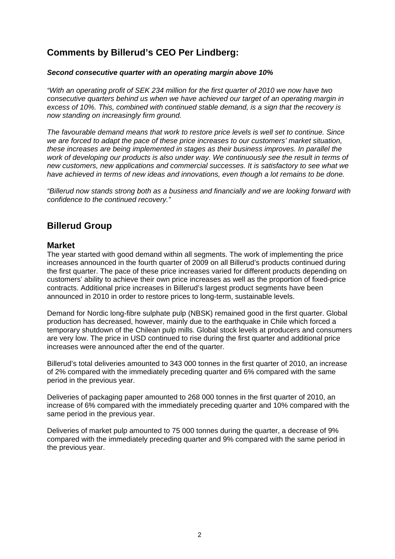# **Comments by Billerud's CEO Per Lindberg:**

#### *Second consecutive quarter with an operating margin above 10%*

*"With an operating profit of SEK 234 million for the first quarter of 2010 we now have two consecutive quarters behind us when we have achieved our target of an operating margin in excess of 10%. This, combined with continued stable demand, is a sign that the recovery is now standing on increasingly firm ground.* 

*The favourable demand means that work to restore price levels is well set to continue. Since we are forced to adapt the pace of these price increases to our customers' market situation, these increases are being implemented in stages as their business improves. In parallel the work of developing our products is also under way. We continuously see the result in terms of new customers, new applications and commercial successes. It is satisfactory to see what we have achieved in terms of new ideas and innovations, even though a lot remains to be done.* 

*"Billerud now stands strong both as a business and financially and we are looking forward with confidence to the continued recovery."* 

# **Billerud Group**

#### **Market**

The year started with good demand within all segments. The work of implementing the price increases announced in the fourth quarter of 2009 on all Billerud's products continued during the first quarter. The pace of these price increases varied for different products depending on customers' ability to achieve their own price increases as well as the proportion of fixed-price contracts. Additional price increases in Billerud's largest product segments have been announced in 2010 in order to restore prices to long-term, sustainable levels.

Demand for Nordic long-fibre sulphate pulp (NBSK) remained good in the first quarter. Global production has decreased, however, mainly due to the earthquake in Chile which forced a temporary shutdown of the Chilean pulp mills. Global stock levels at producers and consumers are very low. The price in USD continued to rise during the first quarter and additional price increases were announced after the end of the quarter.

Billerud's total deliveries amounted to 343 000 tonnes in the first quarter of 2010, an increase of 2% compared with the immediately preceding quarter and 6% compared with the same period in the previous year.

Deliveries of packaging paper amounted to 268 000 tonnes in the first quarter of 2010, an increase of 6% compared with the immediately preceding quarter and 10% compared with the same period in the previous year.

Deliveries of market pulp amounted to 75 000 tonnes during the quarter, a decrease of 9% compared with the immediately preceding quarter and 9% compared with the same period in the previous year.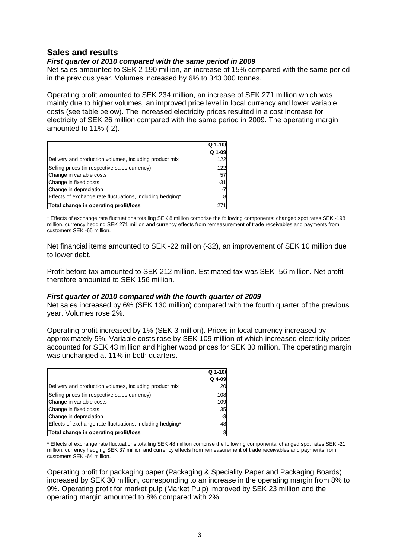## **Sales and results**

#### *First quarter of 2010 compared with the same period in 2009*

Net sales amounted to SEK 2 190 million, an increase of 15% compared with the same period in the previous year. Volumes increased by 6% to 343 000 tonnes.

Operating profit amounted to SEK 234 million, an increase of SEK 271 million which was mainly due to higher volumes, an improved price level in local currency and lower variable costs (see table below). The increased electricity prices resulted in a cost increase for electricity of SEK 26 million compared with the same period in 2009. The operating margin amounted to 11% (-2).

|                                                           | Q 1-10/ |
|-----------------------------------------------------------|---------|
|                                                           | Q 1-09  |
| Delivery and production volumes, including product mix    | 122     |
| Selling prices (in respective sales currency)             | 122     |
| Change in variable costs                                  | 57      |
| Change in fixed costs                                     | $-31$   |
| Change in depreciation                                    | -7      |
| Effects of exchange rate fluctuations, including hedging* |         |
| Total change in operating profit/loss                     |         |

\* Effects of exchange rate fluctuations totalling SEK 8 million comprise the following components: changed spot rates SEK -198 million, currency hedging SEK 271 million and currency effects from remeasurement of trade receivables and payments from customers SEK -65 million.

Net financial items amounted to SEK -22 million (-32), an improvement of SEK 10 million due to lower debt.

Profit before tax amounted to SEK 212 million. Estimated tax was SEK -56 million. Net profit therefore amounted to SEK 156 million.

#### *First quarter of 2010 compared with the fourth quarter of 2009*

Net sales increased by 6% (SEK 130 million) compared with the fourth quarter of the previous year. Volumes rose 2%.

Operating profit increased by 1% (SEK 3 million). Prices in local currency increased by approximately 5%. Variable costs rose by SEK 109 million of which increased electricity prices accounted for SEK 43 million and higher wood prices for SEK 30 million. The operating margin was unchanged at 11% in both quarters.

|                                                           | Q 1-10/  |
|-----------------------------------------------------------|----------|
|                                                           | $Q$ 4-09 |
| Delivery and production volumes, including product mix    | 20       |
| Selling prices (in respective sales currency)             | 108      |
| Change in variable costs                                  | $-109$   |
| Change in fixed costs                                     | 35       |
| Change in depreciation                                    | $-3$     |
| Effects of exchange rate fluctuations, including hedging* | -48      |
| Total change in operating profit/loss                     | 3        |

\* Effects of exchange rate fluctuations totalling SEK 48 million comprise the following components: changed spot rates SEK -21 million, currency hedging SEK 37 million and currency effects from remeasurement of trade receivables and payments from customers SEK -64 million.

Operating profit for packaging paper (Packaging & Speciality Paper and Packaging Boards) increased by SEK 30 million, corresponding to an increase in the operating margin from 8% to 9%. Operating profit for market pulp (Market Pulp) improved by SEK 23 million and the operating margin amounted to 8% compared with 2%.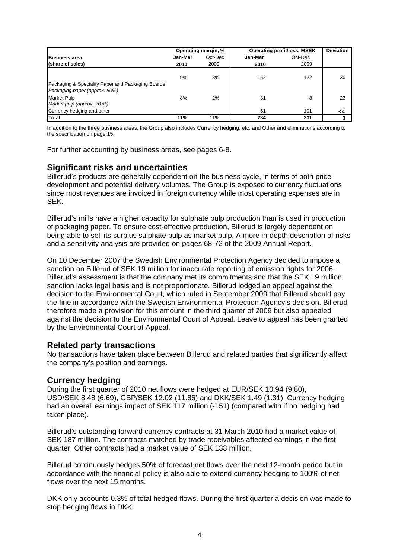|                                                                                    |         | Operating margin, % |         | <b>Operating profit/loss, MSEK</b> |     |  |
|------------------------------------------------------------------------------------|---------|---------------------|---------|------------------------------------|-----|--|
| <b>Business area</b>                                                               | Jan-Mar | Oct-Dec             | Jan-Mar | Oct-Dec                            |     |  |
| (share of sales)                                                                   | 2010    | 2009                | 2010    | 2009                               |     |  |
|                                                                                    | 9%      | 8%                  | 152     | 122                                | 30  |  |
| Packaging & Speciality Paper and Packaging Boards<br>Packaging paper (approx. 80%) |         |                     |         |                                    |     |  |
| <b>Market Pulp</b>                                                                 | 8%      | 2%                  | 31      | 8                                  | 23  |  |
| Market pulp (approx. 20 %)                                                         |         |                     |         |                                    |     |  |
| Currency hedging and other                                                         |         |                     | 51      | 101                                | -50 |  |
| <b>Total</b>                                                                       | 11%     | 11%                 | 234     | 231                                |     |  |

In addition to the three business areas, the Group also includes Currency hedging, etc. and Other and eliminations according to the specification on page 15.

For further accounting by business areas, see pages 6-8.

#### **Significant risks and uncertainties**

Billerud's products are generally dependent on the business cycle, in terms of both price development and potential delivery volumes. The Group is exposed to currency fluctuations since most revenues are invoiced in foreign currency while most operating expenses are in SEK.

Billerud's mills have a higher capacity for sulphate pulp production than is used in production of packaging paper. To ensure cost-effective production, Billerud is largely dependent on being able to sell its surplus sulphate pulp as market pulp. A more in-depth description of risks and a sensitivity analysis are provided on pages 68-72 of the 2009 Annual Report.

On 10 December 2007 the Swedish Environmental Protection Agency decided to impose a sanction on Billerud of SEK 19 million for inaccurate reporting of emission rights for 2006. Billerud's assessment is that the company met its commitments and that the SEK 19 million sanction lacks legal basis and is not proportionate. Billerud lodged an appeal against the decision to the Environmental Court, which ruled in September 2009 that Billerud should pay the fine in accordance with the Swedish Environmental Protection Agency's decision. Billerud therefore made a provision for this amount in the third quarter of 2009 but also appealed against the decision to the Environmental Court of Appeal. Leave to appeal has been granted by the Environmental Court of Appeal.

#### **Related party transactions**

No transactions have taken place between Billerud and related parties that significantly affect the company's position and earnings.

#### **Currency hedging**

During the first quarter of 2010 net flows were hedged at EUR/SEK 10.94 (9.80), USD/SEK 8.48 (6.69), GBP/SEK 12.02 (11.86) and DKK/SEK 1.49 (1.31). Currency hedging had an overall earnings impact of SEK 117 million (-151) (compared with if no hedging had taken place).

Billerud's outstanding forward currency contracts at 31 March 2010 had a market value of SEK 187 million. The contracts matched by trade receivables affected earnings in the first quarter. Other contracts had a market value of SEK 133 million.

Billerud continuously hedges 50% of forecast net flows over the next 12-month period but in accordance with the financial policy is also able to extend currency hedging to 100% of net flows over the next 15 months.

DKK only accounts 0.3% of total hedged flows. During the first quarter a decision was made to stop hedging flows in DKK.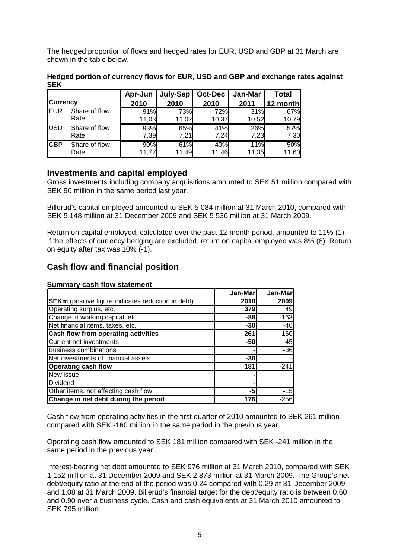The hedged proportion of flows and hedged rates for EUR, USD and GBP at 31 March are shown in the table below.

|            |               | Apr-Jun | July-Sep   Oct-Dec |       | Jan-Mar | <b>Total</b> |
|------------|---------------|---------|--------------------|-------|---------|--------------|
| Currencv   |               | 2010    | 2010               | 2010  | 2011    | 12 month     |
| IEUR       | Share of flow | 91%     | 73%                | 72%   | 31%     | 67%          |
|            | Rate          | 11,03   | 11,02              | 10,37 | 10,52   | 10,79        |
| <b>USD</b> | Share of flow | 93%     | 65%                | 41%   | 26%     | 57%          |
|            | Rate          | 7,39    | 7,21               | 7,24  | 7,23    | 7,30         |
| <b>GBP</b> | Share of flow | 90%     | 61%                | 40%   | 11%     | 50%          |
|            | Rate          | 11.77   | 11,49              | 11,46 | 11,35   | 11,60        |

**Hedged portion of currency flows for EUR, USD and GBP and exchange rates against SEK** 

#### **Investments and capital employed**

Gross investments including company acquisitions amounted to SEK 51 million compared with SEK 90 million in the same period last year.

Billerud's capital employed amounted to SEK 5 084 million at 31 March 2010, compared with SEK 5 148 million at 31 December 2009 and SEK 5 536 million at 31 March 2009.

Return on capital employed, calculated over the past 12-month period, amounted to 11% (1). If the effects of currency hedging are excluded, return on capital employed was 8% (8). Return on equity after tax was 10% (-1).

## **Cash flow and financial position**

|                                                           | Jan-Mar | Jan-Mar |
|-----------------------------------------------------------|---------|---------|
| <b>SEKm</b> (positive figure indicates reduction in debt) | 2010    | 2009    |
| Operating surplus, etc.                                   | 379     | 49      |
| Change in working capital, etc.                           | $-88$   | $-163$  |
| Net financial items, taxes, etc.                          | $-30$   | $-46$   |
| Cash flow from operating activities                       | 261     | $-160$  |
| <b>Current net investments</b>                            | $-50$   | $-45$   |
| <b>Business combinations</b>                              |         | $-36$   |
| Net investments of financial assets                       | $-30$   |         |
| <b>Operating cash flow</b>                                | 181     | $-241$  |
| New issue                                                 |         |         |
| Dividend                                                  |         |         |
| Other items, not affecting cash flow                      | -5      | $-15$   |
| Change in net debt during the period                      | 176     | -256    |

#### **Summary cash flow statement**

Cash flow from operating activities in the first quarter of 2010 amounted to SEK 261 million compared with SEK -160 million in the same period in the previous year.

Operating cash flow amounted to SEK 181 million compared with SEK -241 million in the same period in the previous year.

Interest-bearing net debt amounted to SEK 976 million at 31 March 2010, compared with SEK 1 152 million at 31 December 2009 and SEK 2 873 million at 31 March 2009. The Group's net debt/equity ratio at the end of the period was 0.24 compared with 0.29 at 31 December 2009 and 1.08 at 31 March 2009. Billerud's financial target for the debt/equity ratio is between 0.60 and 0.90 over a business cycle. Cash and cash equivalents at 31 March 2010 amounted to SEK 795 million.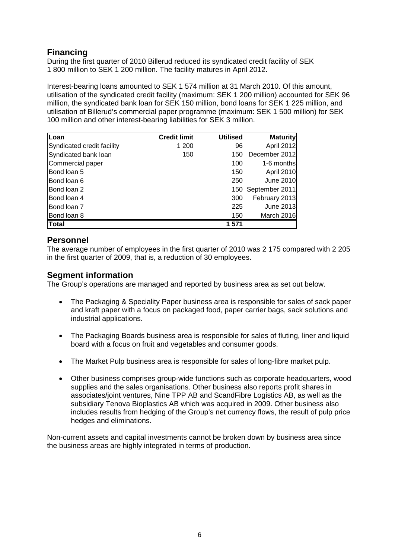# **Financing**

During the first quarter of 2010 Billerud reduced its syndicated credit facility of SEK 1 800 million to SEK 1 200 million. The facility matures in April 2012.

Interest-bearing loans amounted to SEK 1 574 million at 31 March 2010. Of this amount, utilisation of the syndicated credit facility (maximum: SEK 1 200 million) accounted for SEK 96 million, the syndicated bank loan for SEK 150 million, bond loans for SEK 1 225 million, and utilisation of Billerud's commercial paper programme (maximum: SEK 1 500 million) for SEK 100 million and other interest-bearing liabilities for SEK 3 million.

| Loan                       | <b>Credit limit</b> | <b>Utilised</b> | <b>Maturity</b>    |
|----------------------------|---------------------|-----------------|--------------------|
| Syndicated credit facility | 1 200               | 96              | April 2012         |
| Syndicated bank loan       | 150                 | 150             | December 2012      |
| Commercial paper           |                     | 100             | 1-6 months         |
| Bond loan 5                |                     | 150             | April 2010         |
| Bond loan 6                |                     | 250             | <b>June 2010</b>   |
| Bond loan 2                |                     |                 | 150 September 2011 |
| Bond loan 4                |                     | 300             | February 2013      |
| Bond loan 7                |                     | 225             | June 2013          |
| Bond loan 8                |                     | 150             | March 2016         |
| <b>Total</b>               |                     | 1 571           |                    |

## **Personnel**

The average number of employees in the first quarter of 2010 was 2 175 compared with 2 205 in the first quarter of 2009, that is, a reduction of 30 employees.

## **Segment information**

The Group's operations are managed and reported by business area as set out below.

- The Packaging & Speciality Paper business area is responsible for sales of sack paper and kraft paper with a focus on packaged food, paper carrier bags, sack solutions and industrial applications.
- The Packaging Boards business area is responsible for sales of fluting, liner and liquid board with a focus on fruit and vegetables and consumer goods.
- The Market Pulp business area is responsible for sales of long-fibre market pulp.
- Other business comprises group-wide functions such as corporate headquarters, wood supplies and the sales organisations. Other business also reports profit shares in associates/joint ventures, Nine TPP AB and ScandFibre Logistics AB, as well as the subsidiary Tenova Bioplastics AB which was acquired in 2009. Other business also includes results from hedging of the Group's net currency flows, the result of pulp price hedges and eliminations.

Non-current assets and capital investments cannot be broken down by business area since the business areas are highly integrated in terms of production.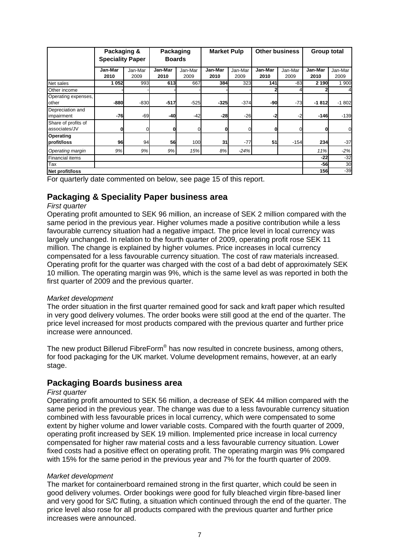|                                      | Packaging &<br><b>Speciality Paper</b> |         | Packaging<br><b>Boards</b> |         | <b>Market Pulp</b> |         | <b>Other business</b> |         | <b>Group total</b> |          |
|--------------------------------------|----------------------------------------|---------|----------------------------|---------|--------------------|---------|-----------------------|---------|--------------------|----------|
|                                      | Jan-Mar                                | Jan-Mar | Jan-Mar                    | Jan-Mar | Jan-Mar            | Jan-Mar | Jan-Mar               | Jan-Mar | Jan-Mar            | Jan-Mar  |
|                                      | 2010                                   | 2009    | 2010                       | 2009    | 2010               | 2009    | 2010                  | 2009    | 2010               | 2009     |
| Net sales                            | 1052                                   | 993     | 613                        | 667     | 384                | 323     | 141                   | $-83$   | 2 190              | 1 900    |
| Other income                         |                                        |         |                            |         |                    |         |                       |         |                    | 4        |
| Operating expenses,<br>other         | -880                                   | $-830$  | $-517$                     | $-525$  | $-325$             | $-374$  | -90                   | $-73$   | -1812              | $-1802$  |
| Depreciation and<br>impairment       | $-76$                                  | $-69$   | -40                        | $-42$   | $-28$              | $-26$   | $-2$                  | $-2$    | $-146$             | $-139$   |
| Share of profits of<br>associates/JV | 0                                      |         | O                          |         | 0                  |         | Ol                    | 0       |                    | $\Omega$ |
| Operating<br>profit/loss             | 96                                     | 94      | 56                         | 100     | 31                 | $-77$   | 51                    | $-154$  | 234                | $-37$    |
| Operating margin                     | 9%                                     | 9%      | 9%                         | 15%     | 8%                 | $-24%$  |                       |         | 11%                | $-2%$    |
| Financial items                      |                                        |         |                            |         |                    |         |                       |         | $-22$              | $-32$    |
| Tax                                  |                                        |         |                            |         |                    | $-56$   | 30                    |         |                    |          |
| Net profit/loss                      |                                        |         |                            |         |                    |         |                       |         | 156                | $-39$    |

For quarterly date commented on below, see page 15 of this report.

#### **Packaging & Speciality Paper business area**

#### *First quarter*

Operating profit amounted to SEK 96 million, an increase of SEK 2 million compared with the same period in the previous year. Higher volumes made a positive contribution while a less favourable currency situation had a negative impact. The price level in local currency was largely unchanged. In relation to the fourth quarter of 2009, operating profit rose SEK 11 million. The change is explained by higher volumes. Price increases in local currency compensated for a less favourable currency situation. The cost of raw materials increased. Operating profit for the quarter was charged with the cost of a bad debt of approximately SEK 10 million. The operating margin was 9%, which is the same level as was reported in both the first quarter of 2009 and the previous quarter.

#### *Market development*

The order situation in the first quarter remained good for sack and kraft paper which resulted in very good delivery volumes. The order books were still good at the end of the quarter. The price level increased for most products compared with the previous quarter and further price increase were announced.

The new product Billerud FibreForm® has now resulted in concrete business, among others, for food packaging for the UK market. Volume development remains, however, at an early stage.

#### **Packaging Boards business area**

#### *First quarter*

Operating profit amounted to SEK 56 million, a decrease of SEK 44 million compared with the same period in the previous year. The change was due to a less favourable currency situation combined with less favourable prices in local currency, which were compensated to some extent by higher volume and lower variable costs. Compared with the fourth quarter of 2009, operating profit increased by SEK 19 million. Implemented price increase in local currency compensated for higher raw material costs and a less favourable currency situation. Lower fixed costs had a positive effect on operating profit. The operating margin was 9% compared with 15% for the same period in the previous year and 7% for the fourth quarter of 2009.

#### *Market development*

The market for containerboard remained strong in the first quarter, which could be seen in good delivery volumes. Order bookings were good for fully bleached virgin fibre-based liner and very good for S/C fluting, a situation which continued through the end of the quarter. The price level also rose for all products compared with the previous quarter and further price increases were announced.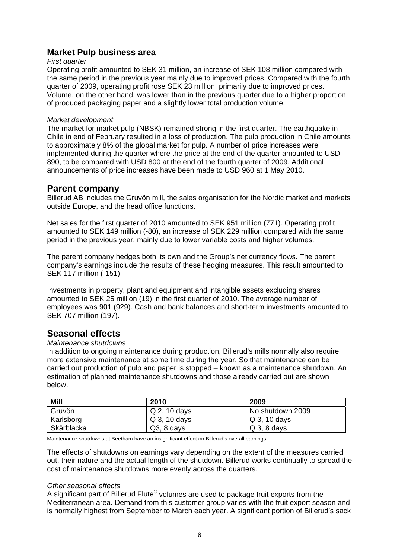#### **Market Pulp business area**

#### *First quarter*

Operating profit amounted to SEK 31 million, an increase of SEK 108 million compared with the same period in the previous year mainly due to improved prices. Compared with the fourth quarter of 2009, operating profit rose SEK 23 million, primarily due to improved prices. Volume, on the other hand, was lower than in the previous quarter due to a higher proportion of produced packaging paper and a slightly lower total production volume.

#### *Market development*

The market for market pulp (NBSK) remained strong in the first quarter. The earthquake in Chile in end of February resulted in a loss of production. The pulp production in Chile amounts to approximately 8% of the global market for pulp. A number of price increases were implemented during the quarter where the price at the end of the quarter amounted to USD 890, to be compared with USD 800 at the end of the fourth quarter of 2009. Additional announcements of price increases have been made to USD 960 at 1 May 2010.

#### **Parent company**

Billerud AB includes the Gruvön mill, the sales organisation for the Nordic market and markets outside Europe, and the head office functions.

Net sales for the first quarter of 2010 amounted to SEK 951 million (771). Operating profit amounted to SEK 149 million (-80), an increase of SEK 229 million compared with the same period in the previous year, mainly due to lower variable costs and higher volumes.

The parent company hedges both its own and the Group's net currency flows. The parent company's earnings include the results of these hedging measures. This result amounted to SEK 117 million (-151).

Investments in property, plant and equipment and intangible assets excluding shares amounted to SEK 25 million (19) in the first quarter of 2010. The average number of employees was 901 (929). Cash and bank balances and short-term investments amounted to SEK 707 million (197).

# **Seasonal effects**

#### *Maintenance shutdowns*

In addition to ongoing maintenance during production, Billerud's mills normally also require more extensive maintenance at some time during the year. So that maintenance can be carried out production of pulp and paper is stopped – known as a maintenance shutdown. An estimation of planned maintenance shutdowns and those already carried out are shown below.

| <b>Mill</b> | 2010         | 2009             |
|-------------|--------------|------------------|
| Gruvön      | Q 2, 10 days | No shutdown 2009 |
| Karlsborg   | Q 3, 10 days | $Q_3$ , 10 days  |
| Skärblacka  | $Q3, 8$ days | $Q_3$ , 8 days   |

Maintenance shutdowns at Beetham have an insignificant effect on Billerud's overall earnings.

The effects of shutdowns on earnings vary depending on the extent of the measures carried out, their nature and the actual length of the shutdown. Billerud works continually to spread the cost of maintenance shutdowns more evenly across the quarters.

#### *Other seasonal effects*

A significant part of Billerud Flute<sup>®</sup> volumes are used to package fruit exports from the Mediterranean area. Demand from this customer group varies with the fruit export season and is normally highest from September to March each year. A significant portion of Billerud's sack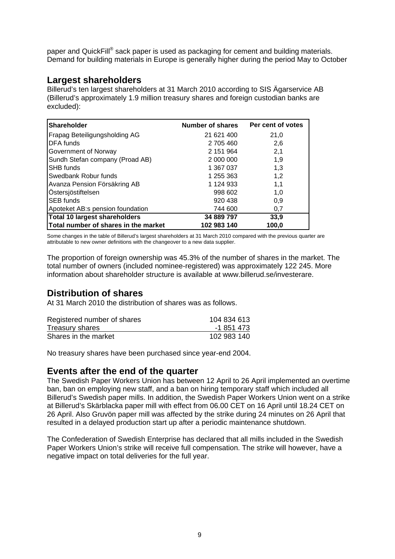paper and QuickFill<sup>®</sup> sack paper is used as packaging for cement and building materials. Demand for building materials in Europe is generally higher during the period May to October

# **Largest shareholders**

Billerud's ten largest shareholders at 31 March 2010 according to SIS Ägarservice AB (Billerud's approximately 1.9 million treasury shares and foreign custodian banks are excluded):

| <b>Shareholder</b>                   | Number of shares | Per cent of votes |
|--------------------------------------|------------------|-------------------|
| Frapag Beteiligungsholding AG        | 21 621 400       | 21,0              |
| DFA funds                            | 2 705 460        | 2,6               |
| Government of Norway                 | 2 151 964        | 2,1               |
| Sundh Stefan company (Proad AB)      | 2 000 000        | 1,9               |
| SHB funds                            | 1 367 037        | 1,3               |
| Swedbank Robur funds                 | 1 255 363        | 1,2               |
| Avanza Pension Försäkring AB         | 1 124 933        | 1,1               |
| Östersjöstiftelsen                   | 998 602          | 1,0               |
| <b>SEB</b> funds                     | 920 438          | 0,9               |
| Apoteket AB:s pension foundation     | 744 600          | 0,7               |
| Total 10 largest shareholders        | 34 889 797       | 33,9              |
| Total number of shares in the market | 102 983 140      | 100.0             |

Some changes in the table of Billerud's largest shareholders at 31 March 2010 compared with the previous quarter are attributable to new owner definitions with the changeover to a new data supplier.

The proportion of foreign ownership was 45.3% of the number of shares in the market. The total number of owners (included nominee-registered) was approximately 122 245. More information about shareholder structure is available at www.billerud.se/investerare.

# **Distribution of shares**

At 31 March 2010 the distribution of shares was as follows.

| Registered number of shares | 104 834 613 |
|-----------------------------|-------------|
| Treasury shares             | -1 851 473  |
| Shares in the market        | 102 983 140 |

No treasury shares have been purchased since year-end 2004.

### **Events after the end of the quarter**

The Swedish Paper Workers Union has between 12 April to 26 April implemented an overtime ban, ban on employing new staff, and a ban on hiring temporary staff which included all Billerud's Swedish paper mills. In addition, the Swedish Paper Workers Union went on a strike at Billerud's Skärblacka paper mill with effect from 06.00 CET on 16 April until 18.24 CET on 26 April. Also Gruvön paper mill was affected by the strike during 24 minutes on 26 April that resulted in a delayed production start up after a periodic maintenance shutdown.

The Confederation of Swedish Enterprise has declared that all mills included in the Swedish Paper Workers Union's strike will receive full compensation. The strike will however, have a negative impact on total deliveries for the full year.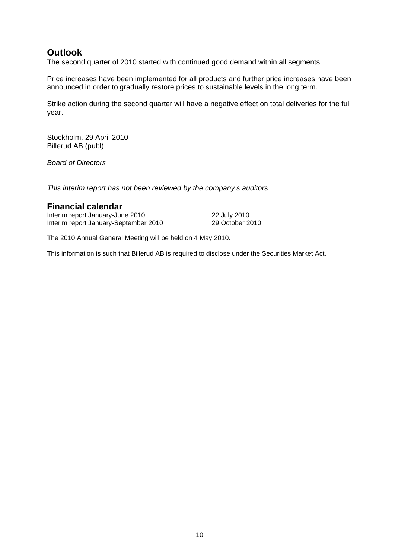# **Outlook**

The second quarter of 2010 started with continued good demand within all segments.

Price increases have been implemented for all products and further price increases have been announced in order to gradually restore prices to sustainable levels in the long term.

Strike action during the second quarter will have a negative effect on total deliveries for the full year.

Stockholm, 29 April 2010 Billerud AB (publ)

*Board of Directors* 

*This interim report has not been reviewed by the company's auditors* 

#### **Financial calendar**

Interim report January-June 2010<br>
Interim report January-September 2010 29 October 2010 Interim report January-September 2010

The 2010 Annual General Meeting will be held on 4 May 2010.

This information is such that Billerud AB is required to disclose under the Securities Market Act.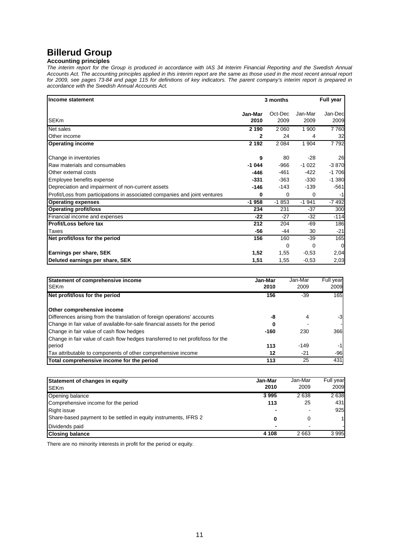# **Billerud Group**

#### **Accounting principles**

*The interim report for the Group is produced in accordance with IAS 34 Interim Financial Reporting and the Swedish Annual Accounts Act. The accounting principles applied in this interim report are the same as those used in the most recent annual report for 2009, see pages 73-84 and page 115 for definitions of key indicators. The parent company's interim report is prepared in accordance with the Swedish Annual Accounts Act.* 

| Income statement                                                           |                 | 3 months        |                 | Full year       |
|----------------------------------------------------------------------------|-----------------|-----------------|-----------------|-----------------|
| SEKm                                                                       | Jan-Mar<br>2010 | Oct-Dec<br>2009 | Jan-Mar<br>2009 | Jan-Dec<br>2009 |
| Net sales                                                                  | 2 1 9 0         | 2 0 6 0         | 1 900           | 7760            |
| Other income                                                               | 2               | 24              | 4               | 32              |
| <b>Operating income</b>                                                    | 2 1 9 2         | 2 0 8 4         | 1904            | 7792            |
| Change in inventories                                                      | 9               | 80              | $-28$           | 26              |
| Raw materials and consumables                                              | $-1044$         | -966            | $-1022$         | $-3870$         |
| Other external costs                                                       | $-446$          | -461            | $-422$          | $-1706$         |
| Employee benefits expense                                                  | $-331$          | $-363$          | $-330$          | $-1.380$        |
| Depreciation and impairment of non-current assets                          | $-146$          | -143            | $-139$          | $-561$          |
| Profit/Loss from participations in associated companies and joint ventures | 0               | 0               | 0               | $-1$            |
| <b>Operating expenses</b>                                                  | $-1958$         | $-1853$         | $-1941$         | $-7492$         |
| <b>Operating profit/loss</b>                                               | 234             | 231             | $-37$           | 300             |
| Financial income and expenses                                              | $-22$           | $-27$           | $-32$           | $-114$          |
| Profit/Loss before tax                                                     | 212             | 204             | -69             | 186             |
| Taxes                                                                      | -56             | -44             | 30              | $-21$           |
| Net profit/loss for the period                                             | 156             | 160             | $-39$           | 165             |
|                                                                            |                 | 0               | $\Omega$        | 0               |
| Earnings per share, SEK                                                    | 1,52            | 1,55            | $-0,53$         | 2,04            |
| Deluted earnings per share, SEK                                            | 1,51            | 1,55            | $-0,53$         | 2,03            |

| Statement of comprehensive income<br><b>SEKm</b>                                | Jan-Mar<br>2010 | Jan-Mar<br>2009 | Full year<br>2009 |
|---------------------------------------------------------------------------------|-----------------|-----------------|-------------------|
| Net profit/loss for the period                                                  | 156             | -39             | 165               |
| Other comprehensive income                                                      |                 |                 |                   |
| Differences arising from the translation of foreign operations' accounts        | -8              | 4               | $-3$              |
| Change in fair value of available-for-sale financial assets for the period      | 0               |                 |                   |
| Change in fair value of cash flow hedges                                        | $-160$          | 230             | 366               |
| Change in fair value of cash flow hedges transferred to net profit/loss for the |                 |                 |                   |
| period                                                                          | 113             | $-149$          | $-1$              |
| Tax attributable to components of other comprehensive income                    | 12              | $-21$           | $-96$             |
| Total comprehensive income for the period                                       | 113             | 25              | 431               |

| Statement of changes in equity                                  | Jan-Mar | Jan-Mar | Full year |
|-----------------------------------------------------------------|---------|---------|-----------|
| <b>ISEKm</b>                                                    | 2010    | 2009    | 2009      |
| Opening balance                                                 | 3995    | 2638    | 2638      |
| Comprehensive income for the period                             | 113     | 25      | 431       |
| <b>Right issue</b>                                              |         |         | 925       |
| Share-based payment to be settled in equity instruments, IFRS 2 | 0       | 0       | 1         |
| Dividends paid                                                  | -       |         |           |
| <b>Closing balance</b>                                          | 4 108   | 2663    | 3995      |

There are no minority interests in profit for the period or equity.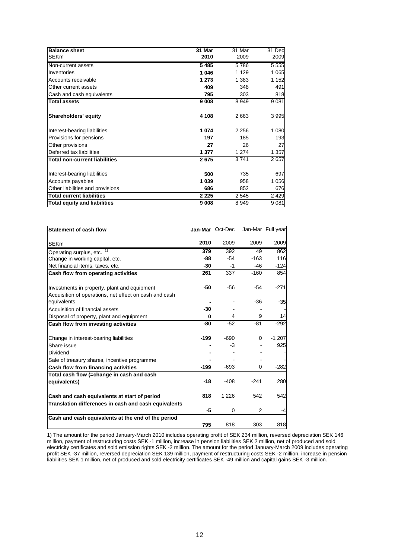| <b>Balance sheet</b>                 | 31 Mar  | 31 Mar  | 31 Dec  |
|--------------------------------------|---------|---------|---------|
| <b>SEKm</b>                          | 2010    | 2009    | 2009    |
| Non-current assets                   | 5485    | 5786    | 5 5 5 5 |
| Inventories                          | 1046    | 1 1 2 9 | 1 0 6 5 |
| Accounts receivable                  | 1 273   | 1 3 8 3 | 1 152   |
| Other current assets                 | 409     | 348     | 491     |
| Cash and cash equivalents            | 795     | 303     | 818     |
| <b>Total assets</b>                  | 9 0 0 8 | 8949    | 9 0 8 1 |
| Shareholders' equity                 | 4 108   | 2663    | 3995    |
| Interest-bearing liabilities         | 1074    | 2 2 5 6 | 1 080   |
| Provisions for pensions              | 197     | 185     | 193     |
| Other provisions                     | 27      | 26      | 27      |
| Deferred tax liabilities             | 1 377   | 1 2 7 4 | 1 357   |
| <b>Total non-current liabilities</b> | 2675    | 3741    | 2657    |
| Interest-bearing liabilities         | 500     | 735     | 697     |
| Accounts payables                    | 1 0 3 9 | 958     | 1 056   |
| Other liabilities and provisions     | 686     | 852     | 676     |
| <b>Total current liabilities</b>     | 2 2 2 5 | 2545    | 2 4 2 9 |
| <b>Total equity and liabilities</b>  | 9008    | 8949    | 9 0 8 1 |

| <b>Statement of cash flow</b>                          |        | Jan-Mar Oct-Dec |          | Jan-Mar Full year |
|--------------------------------------------------------|--------|-----------------|----------|-------------------|
| <b>SEKm</b>                                            | 2010   | 2009            | 2009     | 2009              |
| Operating surplus, etc. 1)                             | 379    | 392             | 49       | 862               |
| Change in working capital, etc.                        | -88    | -54             | $-163$   | 116               |
| Net financial items, taxes, etc.                       | $-30$  | $-1$            | -46      | $-124$            |
| Cash flow from operating activities                    | 261    | 337             | $-160$   | 854               |
| Investments in property, plant and equipment           | -50    | $-56$           | $-54$    | $-271$            |
| Acquisition of operations, net effect on cash and cash |        |                 |          |                   |
| equivalents                                            |        |                 | -36      | $-35$             |
| Acquisition of financial assets                        | $-30$  |                 |          |                   |
| Disposal of property, plant and equipment              | 0      | 4               | 9        | 14                |
| Cash flow from investing activities                    | -80    | $-52$           | $-81$    | $-292$            |
| Change in interest-bearing liabilities                 | -199   | $-690$          | 0        | $-1207$           |
| Share issue                                            |        | -3              |          | 925               |
| Dividend                                               |        |                 |          |                   |
| Sale of treasury shares, incentive programme           |        |                 |          |                   |
| Cash flow from financing activities                    | $-199$ | $-693$          | $\Omega$ | $-282$            |
| Total cash flow (=change in cash and cash              |        |                 |          |                   |
| equivalents)                                           | $-18$  | $-408$          | $-241$   | 280               |
| Cash and cash equivalents at start of period           | 818    | 1 2 2 6         | 542      | 542               |
| Translation differences in cash and cash equivalents   | -5     | 0               | 2        | -4                |
| Cash and cash equivalents at the end of the period     |        |                 |          |                   |
|                                                        | 795    | 818             | 303      | 818               |

1) The amount for the period January-March 2010 includes operating profit of SEK 234 million, reversed depreciation SEK 146 million, payment of restructuring costs SEK -1 million, increase in pension liabilities SEK 2 million, net of produced and sold electricity certificates and sold emission rights SEK -2 million. The amount for the period January-March 2009 includes operating profit SEK -37 million, reversed depreciation SEK 139 million, payment of restructuring costs SEK -2 million, increase in pension liabilities SEK 1 million, net of produced and sold electricity certificates SEK -49 million and capital gains SEK -3 million.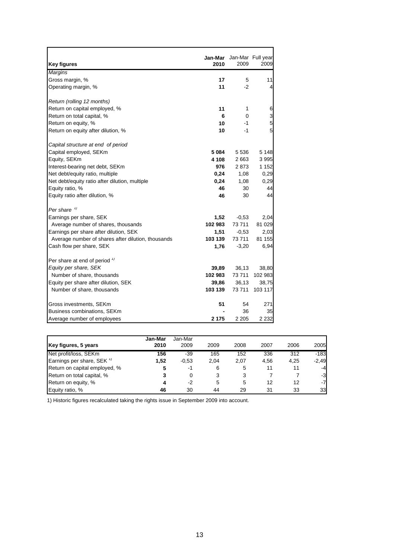| <b>Key figures</b>                                 | 2010    | Jan-Mar Jan-Mar Full year<br>2009 | 2009           |
|----------------------------------------------------|---------|-----------------------------------|----------------|
| <b>Margins</b>                                     |         |                                   |                |
| Gross margin, %                                    | 17      | 5                                 | 11             |
| Operating margin, %                                | 11      | $-2$                              | 4              |
|                                                    |         |                                   |                |
| Return (rolling 12 months)                         |         |                                   |                |
| Return on capital employed, %                      | 11      | 1                                 | 6              |
| Return on total capital, %                         | 6       | $\mathbf 0$                       | $\frac{3}{5}$  |
| Return on equity, %                                | 10      | -1                                |                |
| Return on equity after dilution, %                 | 10      | $-1$                              | $\overline{5}$ |
| Capital structure at end of period                 |         |                                   |                |
| Capital employed, SEKm                             | 5 084   | 5 5 3 6                           | 5 1 4 8        |
| Equity, SEKm                                       | 4 108   | 2 663                             | 3 9 9 5        |
| Interest-bearing net debt, SEKm                    | 976     | 2873                              | 1 1 5 2        |
| Net debt/equity ratio, multiple                    | 0,24    | 1,08                              | 0,29           |
| Net debt/equity ratio after dilution, multiple     | 0,24    | 1,08                              | 0,29           |
| Equity ratio, %                                    | 46      | 30                                | 44             |
| Equity ratio after dilution, %                     | 46      | 30                                | 44             |
|                                                    |         |                                   |                |
| Per share $\frac{1}{2}$                            |         |                                   |                |
| Earnings per share, SEK                            | 1,52    | $-0,53$                           | 2,04           |
| Average number of shares, thousands                | 102 983 | 73 711                            | 81 0 29        |
| Earnings per share after dilution, SEK             | 1,51    | $-0,53$                           | 2,03           |
| Average number of shares after dilution, thousands | 103 139 | 73 711                            | 81 155         |
| Cash flow per share, SEK                           | 1,76    | $-3,20$                           | 6,94           |
|                                                    |         |                                   |                |
| Per share at end of period $\frac{1}{1}$           |         |                                   |                |
| Equity per share, SEK                              | 39,89   | 36,13                             | 38,80          |
| Number of share, thousands                         | 102 983 | 73 711                            | 102 983        |
| Equity per share after dilution, SEK               | 39,86   | 36,13                             | 38,75          |
| Number of share, thousands                         | 103 139 | 73 711                            | 103 117        |
| Gross investments, SEKm                            | 51      | 54                                | 271            |
| Business combinations, SEKm                        |         | 36                                | 35             |
|                                                    | 2 175   | 2 2 0 5                           | 2 2 3 2        |
| Average number of employees                        |         |                                   |                |

|                                       | Jan-Mar | Jan-Mar |      |      |      |      |         |
|---------------------------------------|---------|---------|------|------|------|------|---------|
| Key figures, 5 years                  | 2010    | 2009    | 2009 | 2008 | 2007 | 2006 | 2005    |
| Net profit/loss, SEKm                 | 156     | -39     | 165  | 152  | 336  | 312  | $-183$  |
| Earnings per share, SEK <sup>1)</sup> | 1.52    | $-0.53$ | 2.04 | 2.07 | 4.56 | 4,25 | $-2,49$ |
| Return on capital employed, %         |         | $-1$    | 6    | 5    | 11   | 11   | $-4$    |
| Return on total capital, %            |         | 0       | 3    | 3    |      |      | $-3$    |
| Return on equity, %                   |         | $-2$    | 5    | 5    | 12   | 12   | $-7$    |
| Equity ratio, %                       | 46      | 30      | 44   | 29   | 31   | 33   | 33      |

1) Historic figures recalculated taking the rights issue in September 2009 into account.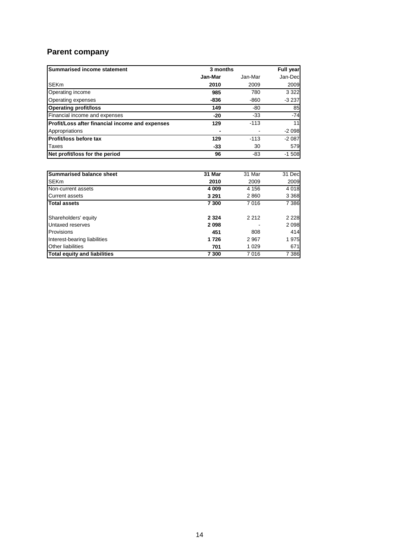# **Parent company**

| <b>Summarised income statement</b>              | 3 months |         | <b>Full year</b> |
|-------------------------------------------------|----------|---------|------------------|
|                                                 | Jan-Mar  | Jan-Mar | Jan-Dec          |
| <b>SEKm</b>                                     | 2010     | 2009    | 2009             |
| Operating income                                | 985      | 780     | 3 3 2 2          |
| Operating expenses                              | -836     | -860    | $-3237$          |
| <b>Operating profit/loss</b>                    | 149      | -80     | 85               |
| Financial income and expenses                   | -20      | $-33$   | $-74$            |
| Profit/Loss after financial income and expenses | 129      | $-113$  | 11               |
| Appropriations                                  |          |         | $-2098$          |
| Profit/loss before tax                          | 129      | $-113$  | $-2087$          |
| Taxes                                           | -33      | 30      | 579              |
| Net profit/loss for the period                  | 96       | -83     | $-1508$          |

| <b>Summarised balance sheet</b>     | 31 Mar  | 31 Mar  | 31 Dec  |
|-------------------------------------|---------|---------|---------|
| <b>SEKm</b>                         | 2010    | 2009    | 2009    |
| Non-current assets                  | 4 0 0 9 | 4 1 5 6 | 4 0 1 8 |
| <b>Current assets</b>               | 3 2 9 1 | 2860    | 3 3 6 8 |
| <b>Total assets</b>                 | 7 300   | 7016    | 7 3 8 6 |
| Shareholders' equity                | 2 3 2 4 | 2 2 1 2 | 2 2 2 8 |
| Untaxed reserves                    | 2098    |         | 2 0 9 8 |
| Provisions                          | 451     | 808     | 414     |
| Interest-bearing liabilities        | 1726    | 2967    | 1975    |
| <b>Other liabilities</b>            | 701     | 1 0 2 9 | 671     |
| <b>Total equity and liabilities</b> | 7 300   | 7016    | 7 3 8 6 |